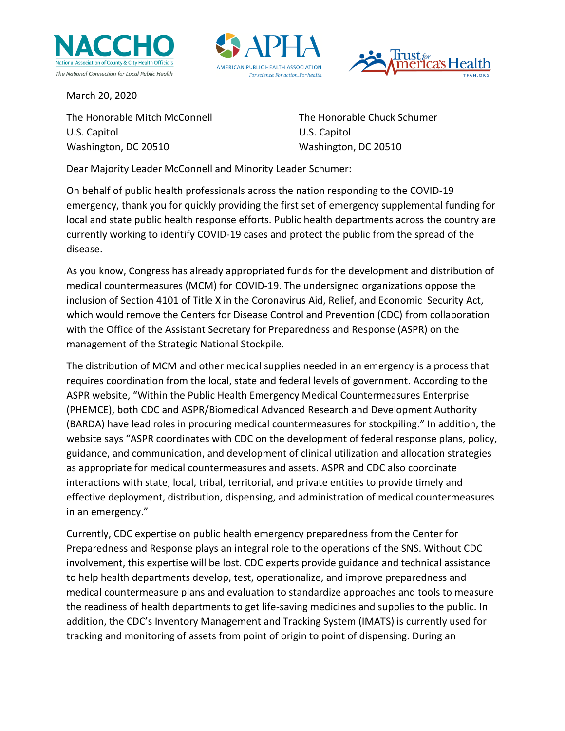





March 20, 2020

The Honorable Mitch McConnell The Honorable Chuck Schumer U.S. Capitol U.S. Capitol Washington, DC 20510 Washington, DC 20510

Dear Majority Leader McConnell and Minority Leader Schumer:

On behalf of public health professionals across the nation responding to the COVID-19 emergency, thank you for quickly providing the first set of emergency supplemental funding for local and state public health response efforts. Public health departments across the country are currently working to identify COVID-19 cases and protect the public from the spread of the disease.

As you know, Congress has already appropriated funds for the development and distribution of medical countermeasures (MCM) for COVID-19. The undersigned organizations oppose the inclusion of Section 4101 of Title X in the Coronavirus Aid, Relief, and Economic Security Act, which would remove the Centers for Disease Control and Prevention (CDC) from collaboration with the Office of the Assistant Secretary for Preparedness and Response (ASPR) on the management of the Strategic National Stockpile.

The distribution of MCM and other medical supplies needed in an emergency is a process that requires coordination from the local, state and federal levels of government. According to the ASPR website, "Within the Public Health Emergency Medical Countermeasures Enterprise (PHEMCE), both CDC and ASPR/Biomedical Advanced Research and Development Authority (BARDA) have lead roles in procuring medical countermeasures for stockpiling." In addition, the website says "ASPR coordinates with CDC on the development of federal response plans, policy, guidance, and communication, and development of clinical utilization and allocation strategies as appropriate for medical countermeasures and assets. ASPR and CDC also coordinate interactions with state, local, tribal, territorial, and private entities to provide timely and effective deployment, distribution, dispensing, and administration of medical countermeasures in an emergency."

Currently, CDC expertise on public health emergency preparedness from the Center for Preparedness and Response plays an integral role to the operations of the SNS. Without CDC involvement, this expertise will be lost. CDC experts provide guidance and technical assistance to help health departments develop, test, operationalize, and improve preparedness and medical countermeasure plans and evaluation to standardize approaches and tools to measure the readiness of health departments to get life-saving medicines and supplies to the public. In addition, the CDC's Inventory Management and Tracking System (IMATS) is currently used for tracking and monitoring of assets from point of origin to point of dispensing. During an